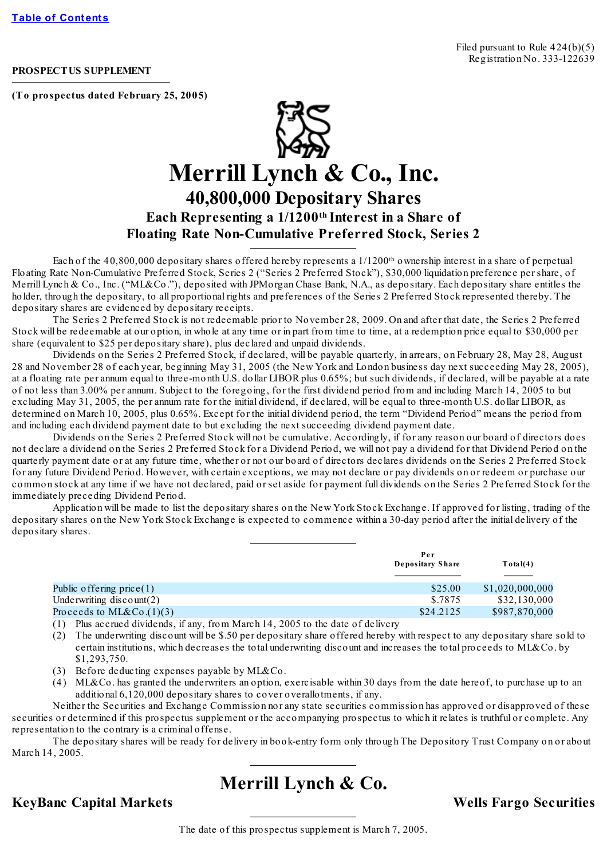#### **PROSPECTUS SUPPLEMENT**

**(To prospectus dated February 25, 2005)**



# **Merrill Lynch & Co., Inc. 40,800,000 Depositary Shares Each Representing a 1/1200 th Interest in a Share of Floating Rate Non-Cumulative Preferred Stock, Series 2**

Each of the 40,800,000 depositary shares offered hereby represents a 1/1200<sup>th</sup> ownership interest in a share of perpetual Floating Rate Non-Cumulative Preferred Stock, Series 2 ("Series 2 Preferred Stock"), \$30,000 liquidation preference per share, of Merrill Lynch & Co., Inc. ("ML&Co."), deposited with JPMorgan Chase Bank, N.A., as depositary. Each depositary share entitles the holder, through the depositary, to all proportional rights and preferences of the Series 2 Preferred Stock represented thereby. The depositary shares are evidenced by depositary receipts.

The Series 2 Preferred Stock is not redeemable prior to November 28, 2009. On and after that date, the Series 2 Preferred Stock will be redeemable at our option, in whole at any time or in part from time to time, at a redemption price equal to \$30,000 per share (equivalent to \$25 per depositary share), plus declared and unpaid dividends.

Dividends on the Series 2 Preferred Stock, if declared, will be payable quarterly, in arrears, on February 28, May 28, August 28 and November 28 of each year, beginning May 31, 2005 (the New York and London business day next succeeding May 28, 2005), at a floating rate per annum equal to three-month U.S. dollar LIBOR plus 0.65%; but such dividends, if declared, will be payable at a rate of not less than 3.00% per annum. Subject to the foregoing, for the first dividend period from and including March 14, 2005 to but excluding May 31, 2005, the per annum rate for the initial dividend, if declared, will be equal to three-month U.S. dollar LIBOR, as determined on March 10, 2005, plus 0.65%. Except for the initial dividend period, the term "Dividend Period" means the period from and including each dividend payment date to but excluding the next succeeding dividend payment date.

Dividends on the Series 2 Preferred Stock will not be cumulative. Accordingly, if for any reason our board of directors does not declare a dividend on the Series 2 Preferred Stock for a Dividend Period, we will not pay a dividend for that Dividend Period on the quarterly payment date or at any future time, whether or not our board of directors declares dividends on the Series 2 Preferred Stock for any future Dividend Period. However, with certain exceptions, we may not declare or pay dividends on or redeem or purchase our common stock at any time if we have not declared, paid or set aside for payment full dividends on the Series 2 Preferred Stock for the immediately preceding Dividend Period.

Application will be made to list the depositary shares on the New York Stock Exchange. If approved for listing, trading of the depositary shares on the New York Stock Exchange is expected to commence within a 30-day period after the initial delivery of the depositary shares.

|                             | Per<br>Depositary Share | Total(4)        |
|-----------------------------|-------------------------|-----------------|
| Public offering price $(1)$ | \$25.00                 | \$1,020,000,000 |
| Underwriting $discount(2)$  | \$.7875                 | \$32,130,000    |
| Proceeds to ML&Co. $(1)(3)$ | \$24,2125               | \$987,870,000   |

- (1) Plus accrued dividends, if any, from March 14, 2005 to the date of delivery
- (2) The underwriting discount will be \$.50 per depositary share offered hereby with respect to any depositary share sold to certain institutions, which decreases the total underwriting discount and increases the total proceeds to ML&Co. by \$1,293,750.
- (3) Before deducting expenses payable by ML&Co.
- (4) ML&Co. has granted the underwriters an option, exercisable within 30 days from the date hereof, to purchase up to an additional 6,120,000 depositary shares to cover overallotments, if any.

Neither the Securities and Exchange Commission nor any state securities commission has approved or disapproved of these securities or determined if this prospectus supplement or the accompanying prospectus to which it relates is truthful or complete. Any representation to the contrary is a criminal offense.

The depositary shares will be ready for delivery in book-entry form only through The Depository Trust Company on or about March 14, 2005.

# **Merrill Lynch & Co.**

**KeyBanc Capital Markets Wells Fargo Securities**

The date of this prospectus supplement is March 7, 2005.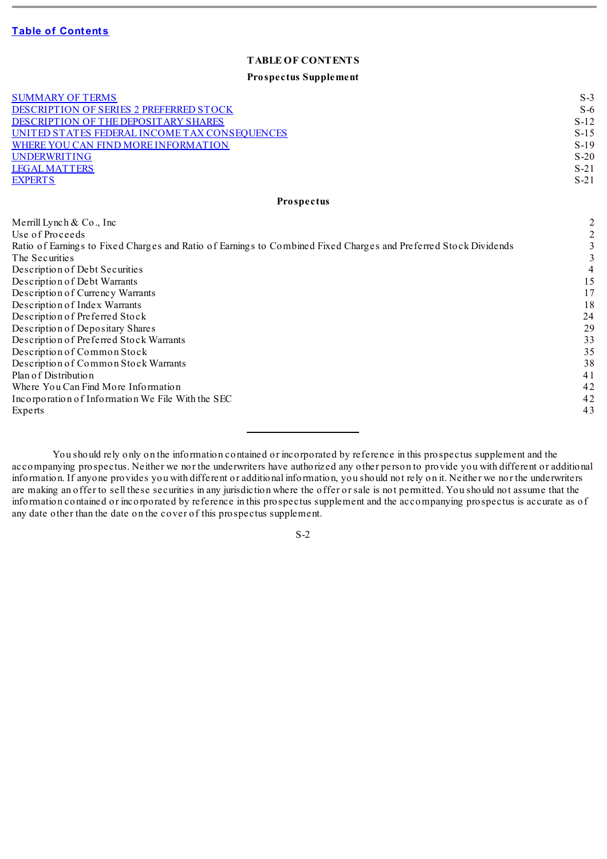### **TABLE OF CONTENTS**

#### **Prospectus Supplement**

<span id="page-1-0"></span>

| <b>SUMMARY OF TERMS</b><br>DESCRIPTION OF SERIES 2 PREFERRED STOCK<br>DESCRIPTION OF THE DEPOSITARY SHARES<br>UNITED STATES FEDERAL INCOME TAX CONSEQUENCES<br>WHERE YOU CAN FIND MORE INFORMATION<br>UNDERWRITING<br><b>LEGAL MATTERS</b>                                                                                                                                                                                                                                                                                                                                                                                                        | $S-3$<br>$S-6$<br>$S-12$<br>$S-15$<br>$S-19$<br>$S-20$<br>$S-21$                                      |
|---------------------------------------------------------------------------------------------------------------------------------------------------------------------------------------------------------------------------------------------------------------------------------------------------------------------------------------------------------------------------------------------------------------------------------------------------------------------------------------------------------------------------------------------------------------------------------------------------------------------------------------------------|-------------------------------------------------------------------------------------------------------|
| <b>EXPERTS</b>                                                                                                                                                                                                                                                                                                                                                                                                                                                                                                                                                                                                                                    | $S-21$                                                                                                |
| Prospectus                                                                                                                                                                                                                                                                                                                                                                                                                                                                                                                                                                                                                                        |                                                                                                       |
| Merrill Lynch $& Co., Inc$<br>Use of Proceeds<br>Ratio of Earnings to Fixed Charges and Ratio of Earnings to Combined Fixed Charges and Preferred Stock Dividends<br>The Securities<br>Description of Debt Securities<br>Description of Debt Warrants<br>Description of Currency Warrants<br>Description of Index Warrants<br>Description of Preferred Stock<br>Description of Depositary Shares<br>Description of Preferred Stock Warrants<br>Description of Common Stock<br>Description of Common Stock Warrants<br>Plan of Distribution<br>Where You Can Find More Information<br>Incorporation of Information We File With the SEC<br>Experts | $\overline{c}$<br>3<br>3<br>4<br>15<br>17<br>18<br>24<br>29<br>33<br>35<br>38<br>41<br>42<br>42<br>43 |

You should rely only on the information contained or incorporated by reference in this prospectus supplement and the accompanying prospectus. Neither we nor the underwriters have authorized any other person to provide you with different or additional information. If anyone provides you with different or additional information, you should not rely on it. Neither we nor the underwriters are making an offer to sell these securities in any jurisdiction where the offer or sale is not permitted. You should not assume that the information contained or incorporated by reference in this prospectus supplement and the accompanying prospectus is accurate as of any date other than the date on the cover of this prospectus supplement.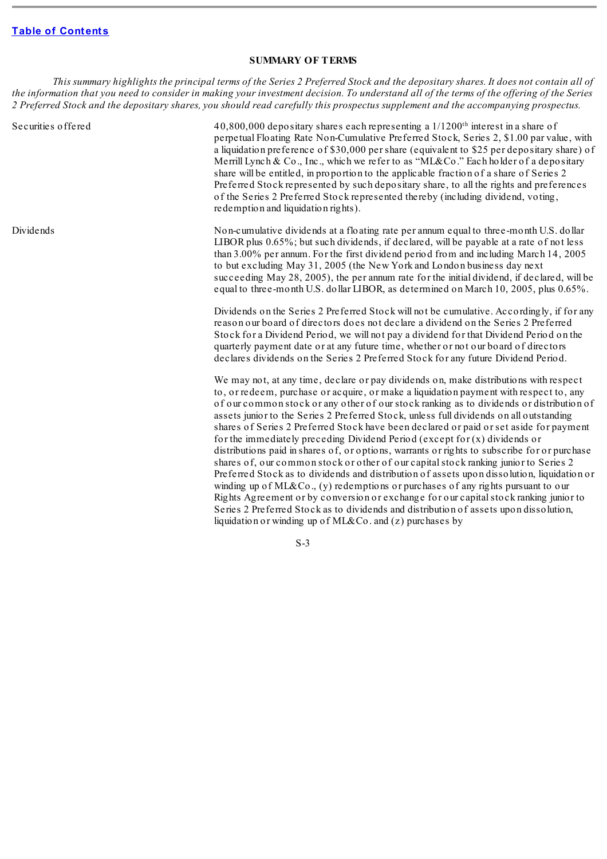#### **SUMMARY OF TERMS**

<span id="page-2-0"></span>This summary highlights the principal terms of the Series 2 Preferred Stock and the depositary shares. It does not contain all of the information that you need to consider in making your investment decision. To understand all of the terms of the offering of the Series 2 Preferred Stock and the depositary shares, you should read carefully this prospectus supplement and the accompanying prospectus.

Securities offered 40,800,000 depositary shares each representing a 1/1200<sup>th</sup> interest in a share of perpetual Floating Rate Non-Cumulative Preferred Stock, Series 2, \$1.00 par value, with a liquidation preference of \$30,000 per share (equivalent to \$25 per depositary share) of Merrill Lynch & Co., Inc., which we refer to as "ML&Co." Each holder of a depositary share will be entitled, in proportion to the applicable fraction of a share of Series 2 Preferred Stock represented by such depositary share, to all the rights and preferences of the Series 2 Preferred Stock represented thereby (including dividend, voting, redemption and liquidation rights).

Dividends homeomulative dividends at a floating rate per annum equal to three-month U.S. dollar LIBOR plus 0.65%; but such dividends, if declared, will be payable at a rate of not less than 3.00% per annum. For the first dividend period from and including March 14, 2005 to but excluding May 31, 2005 (the New York and London business day next succeeding May 28, 2005), the per annum rate for the initial dividend, if declared, will be equal to three-month U.S. dollar LIBOR, as determined on March 10, 2005, plus 0.65%.

> Dividends on the Series 2 Preferred Stock will not be cumulative. Accordingly, if for any reason our board of directors does not declare a dividend on the Series 2 Preferred Stock for a Dividend Period, we will not pay a dividend for that Dividend Period on the quarterly payment date or at any future time, whether or not our board of directors declares dividends on the Series 2 Preferred Stock for any future Dividend Period.

> We may not, at any time, declare or pay dividends on, make distributions with respect to, or redeem, purchase or acquire, or make a liquidation payment with respect to, any of our common stock or any other of our stock ranking as to dividends or distribution of assets junior to the Series 2 Preferred Stock, unless full dividends on all outstanding shares of Series 2 Preferred Stock have been declared or paid or set aside for payment for the immediately preceding Dividend Period (except for (x) dividends or distributions paid in shares of, or options, warrants or rights to subscribe for or purchase shares of, our common stock or other of our capitalstock ranking junior to Series 2 Preferred Stock as to dividends and distribution of assets upon dissolution, liquidation or winding up of ML&Co.,  $(y)$  redemptions or purchases of any rights pursuant to our Rights Agreement or by conversion or exchange for our capitalstock ranking junior to Series 2 Preferred Stock as to dividends and distribution of assets upon dissolution, liquidation or winding up of ML&Co. and (z) purchases by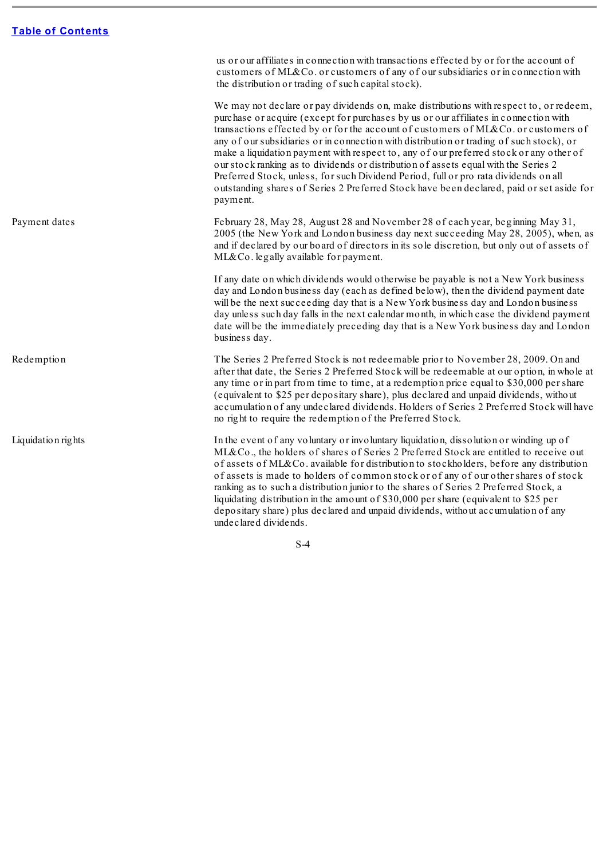$\sim$ 

|                    | us or our affiliates in connection with transactions effected by or for the account of<br>customers of ML&Co. or customers of any of our subsidiaries or in connection with<br>the distribution or trading of such capital stock).                                                                                                                                                                                                                                                                                                                                                                                                                                                                                                                |
|--------------------|---------------------------------------------------------------------------------------------------------------------------------------------------------------------------------------------------------------------------------------------------------------------------------------------------------------------------------------------------------------------------------------------------------------------------------------------------------------------------------------------------------------------------------------------------------------------------------------------------------------------------------------------------------------------------------------------------------------------------------------------------|
|                    | We may not declare or pay dividends on, make distributions with respect to, or redeem,<br>purchase or acquire (except for purchases by us or our affiliates in connection with<br>transactions effected by or for the account of customers of ML&Co. or customers of<br>any of our subsidiaries or in connection with distribution or trading of such stock), or<br>make a liquidation payment with respect to, any of our preferred stock or any other of<br>our stock ranking as to dividends or distribution of assets equal with the Series 2<br>Preferred Stock, unless, for such Dividend Period, full or pro rata dividends on all<br>outstanding shares of Series 2 Preferred Stock have been declared, paid or set aside for<br>payment. |
| Payment dates      | February 28, May 28, August 28 and November 28 of each year, beginning May 31,<br>2005 (the New York and London business day next succeeding May 28, 2005), when, as<br>and if declared by our board of directors in its sole discretion, but only out of assets of<br>ML&Co. legally available for payment.                                                                                                                                                                                                                                                                                                                                                                                                                                      |
|                    | If any date on which dividends would otherwise be payable is not a New York business<br>day and London business day (each as defined below), then the dividend payment date<br>will be the next succeeding day that is a New York business day and London business<br>day unless such day falls in the next calendar month, in which case the dividend payment<br>date will be the immediately preceding day that is a New York business day and London<br>business day.                                                                                                                                                                                                                                                                          |
| Redemption         | The Series 2 Preferred Stock is not redeemable prior to November 28, 2009. On and<br>after that date, the Series 2 Preferred Stock will be redeemable at our option, in whole at<br>any time or in part from time to time, at a redemption price equal to \$30,000 per share<br>(equivalent to \$25 per depositary share), plus declared and unpaid dividends, without<br>accumulation of any undeclared dividends. Holders of Series 2 Preferred Stock will have<br>no right to require the redemption of the Preferred Stock.                                                                                                                                                                                                                   |
| Liquidation rights | In the event of any voluntary or involuntary liquidation, dissolution or winding up of<br>ML&Co., the holders of shares of Series 2 Preferred Stock are entitled to receive out<br>of assets of ML&Co. available for distribution to stockholders, before any distribution<br>of assets is made to holders of common stock or of any of our other shares of stock<br>ranking as to such a distribution junior to the shares of Series 2 Preferred Stock, a<br>liquidating distribution in the amount of \$30,000 per share (equivalent to \$25 per<br>depositary share) plus declared and unpaid dividends, without accumulation of any<br>undeclared dividends.                                                                                  |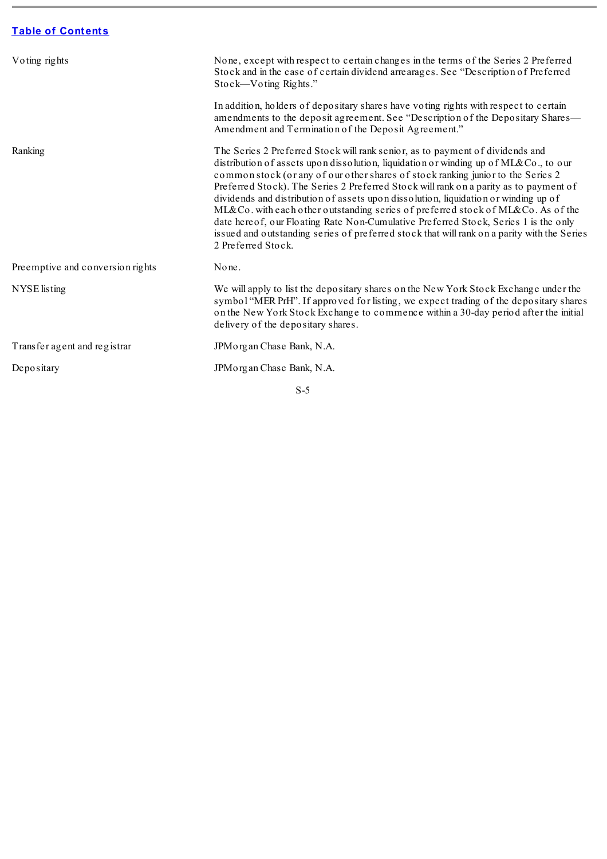<u> The Common State Common Sta</u>

| Voting rights                    | None, except with respect to certain changes in the terms of the Series 2 Preferred<br>Stock and in the case of certain dividend arrearages. See "Description of Preferred<br>Stock—Voting Rights."<br>In addition, holders of depositary shares have voting rights with respect to certain<br>amendments to the deposit agreement. See "Description of the Depositary Shares—                                                                                                                                                                                                                                                                                                                                                            |
|----------------------------------|-------------------------------------------------------------------------------------------------------------------------------------------------------------------------------------------------------------------------------------------------------------------------------------------------------------------------------------------------------------------------------------------------------------------------------------------------------------------------------------------------------------------------------------------------------------------------------------------------------------------------------------------------------------------------------------------------------------------------------------------|
|                                  | Amendment and Termination of the Deposit Agreement."                                                                                                                                                                                                                                                                                                                                                                                                                                                                                                                                                                                                                                                                                      |
| Ranking                          | The Series 2 Preferred Stock will rank senior, as to payment of dividends and<br>distribution of assets upon dissolution, liquidation or winding up of ML&Co., to our<br>common stock (or any of our other shares of stock ranking junior to the Series 2<br>Preferred Stock). The Series 2 Preferred Stock will rank on a parity as to payment of<br>dividends and distribution of assets upon dissolution, liquidation or winding up of<br>ML&Co. with each other outstanding series of preferred stock of ML&Co. As of the<br>date hereof, our Floating Rate Non-Cumulative Preferred Stock, Series 1 is the only<br>issued and outstanding series of preferred stock that will rank on a parity with the Series<br>2 Preferred Stock. |
| Preemptive and conversion rights | None.                                                                                                                                                                                                                                                                                                                                                                                                                                                                                                                                                                                                                                                                                                                                     |
| NYSE listing                     | We will apply to list the depositary shares on the New York Stock Exchange under the<br>symbol "MER PrH". If approved for listing, we expect trading of the depositary shares<br>on the New York Stock Exchange to commence within a 30-day period after the initial<br>delivery of the depositary shares.                                                                                                                                                                                                                                                                                                                                                                                                                                |
| Transfer agent and registrar     | JPM organ Chase Bank, N.A.                                                                                                                                                                                                                                                                                                                                                                                                                                                                                                                                                                                                                                                                                                                |
| Depositary                       | JPM organ Chase Bank, N.A.                                                                                                                                                                                                                                                                                                                                                                                                                                                                                                                                                                                                                                                                                                                |

÷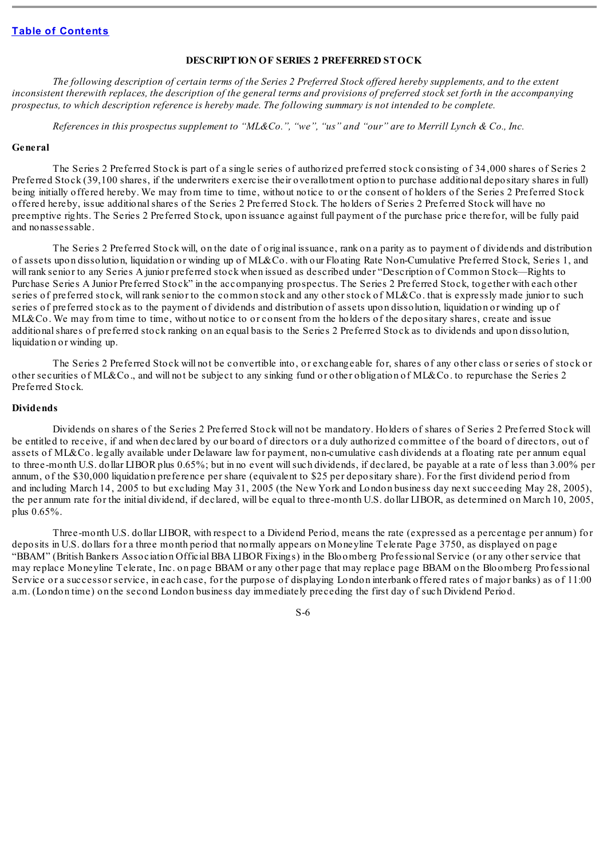#### **DESCRIPTION OF SERIES 2 PREFERRED STOCK**

<span id="page-5-0"></span>The following description of certain terms of the Series 2 Preferred Stock offered hereby supplements, and to the extent inconsistent therewith replaces, the description of the general terms and provisions of preferred stock set forth in the accompanying prospectus, to which description reference is hereby made. The following summary is not intended to be complete.

References in this prospectus supplement to "ML&Co.", "we", "us" and "our" are to Merrill Lynch & Co., Inc.

#### **General**

The Series 2 Preferred Stock is part of a single series of authorized preferred stock consisting of 34,000 shares of Series 2 Preferred Stock (39,100 shares, if the underwriters exercise their overallotment option to purchase additional depositary shares in full) being initially offered hereby. We may from time to time, without notice to or the consent of holders of the Series 2 Preferred Stock offered hereby, issue additionalshares of the Series 2 Preferred Stock. The holders of Series 2 Preferred Stock will have no preemptive rights. The Series 2 Preferred Stock, upon issuance against full payment of the purchase price therefor, will be fully paid and nonassessable.

The Series 2 Preferred Stock will, on the date of original issuance, rank on a parity as to payment of dividends and distribution of assets upon dissolution, liquidation or winding up of ML&Co. with our Floating Rate Non-Cumulative Preferred Stock, Series 1, and will rank senior to any Series A junior preferred stock when issued as described under "Description of Common Stock—Rights to Purchase Series A Junior Preferred Stock" in the accompanying prospectus. The Series 2 Preferred Stock, together with each other series of preferred stock, will rank senior to the common stock and any other stock of ML&Co. that is expressly made junior to such series of preferred stock as to the payment of dividends and distribution of assets upon dissolution, liquidation or winding up of ML&Co. We may from time to time, without notice to or consent from the holders of the depositary shares, create and issue additionalshares of preferred stock ranking on an equal basis to the Series 2 Preferred Stock as to dividends and upon dissolution, liquidation or winding up.

The Series 2 Preferred Stock will not be convertible into, or exchangeable for, shares of any other class or series of stock or other securities of ML&Co., and will not be subject to any sinking fund or other obligation of ML&Co. to repurchase the Series 2 Preferred Stock.

#### **Dividends**

Dividends on shares of the Series 2 Preferred Stock will not be mandatory. Holders of shares of Series 2 Preferred Stock will be entitled to receive, if and when declared by our board of directors or a duly authorized committee of the board of directors, out of assets of ML&Co. legally available under Delaware law for payment, non-cumulative cash dividends at a floating rate per annum equal to three-month U.S. dollar LIBOR plus 0.65%; but in no event willsuch dividends, if declared, be payable at a rate of less than 3.00% per annum, of the \$30,000 liquidation preference per share (equivalent to \$25 per depositary share). For the first dividend period from and including March 14, 2005 to but excluding May 31, 2005 (the New York and London business day next succeeding May 28, 2005), the per annum rate for the initial dividend, if declared, will be equal to three-month U.S. dollar LIBOR, as determined on March 10, 2005, plus 0.65%.

Three-month U.S. dollar LIBOR, with respect to a Dividend Period, means the rate (expressed as a percentage per annum) for deposits in U.S. dollars for a three month period that normally appears on Moneyline Telerate Page 3750, as displayed on page "BBAM" (British Bankers Association Official BBA LIBOR Fixings) in the Bloomberg Professional Service (or any other service that may replace Moneyline Telerate, Inc. on page BBAM or any other page that may replace page BBAM on the Bloomberg Professional Service or a successor service, in each case, for the purpose of displaying London interbank offered rates of major banks) as of 11:00 a.m. (London time) on the second London business day immediately preceding the first day of such Dividend Period.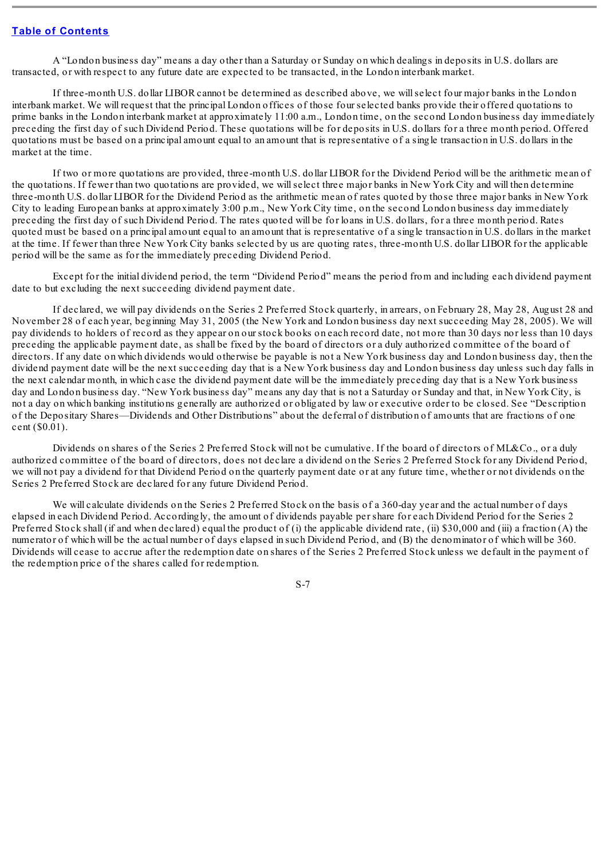A "London business day" means a day other than a Saturday or Sunday on which dealings in deposits in U.S. dollars are transacted, or with respect to any future date are expected to be transacted, in the London interbank market.

If three-month U.S. dollar LIBOR cannot be determined as described above, we willselect four major banks in the London interbank market. We will request that the principal London offices of those four selected banks provide their offered quotations to prime banks in the London interbank market at approximately 11:00 a.m., London time, on the second London business day immediately preceding the first day of such Dividend Period. These quotations will be for deposits in U.S. dollars for a three month period. Offered quotations must be based on a principal amount equal to an amount that is representative of a single transaction in U.S. dollars in the market at the time.

If two or more quotations are provided, three-month U.S. dollar LIBOR for the Dividend Period will be the arithmetic mean of the quotations. If fewer than two quotations are provided, we willselect three major banks in New York City and will then determine three-month U.S. dollar LIBOR for the Dividend Period as the arithmetic mean of rates quoted by those three major banks in New York City to leading European banks at approximately 3:00 p.m., New York City time, on the second London business day immediately preceding the first day of such Dividend Period. The rates quoted will be for loans in U.S. dollars, for a three month period. Rates quoted must be based on a principal amount equal to an amount that is representative of a single transaction in U.S. dollars in the market at the time. If fewer than three New York City banks selected by us are quoting rates, three-month U.S. dollar LIBOR for the applicable period will be the same as for the immediately preceding Dividend Period.

Except for the initial dividend period, the term "Dividend Period" means the period from and including each dividend payment date to but excluding the next succeeding dividend payment date.

If declared, we will pay dividends on the Series 2 Preferred Stock quarterly, in arrears, on February 28, May 28, August 28 and November 28 of each year, beginning May 31, 2005 (the New York and London business day next succeeding May 28, 2005). We will pay dividends to holders of record as they appear on our stock books on each record date, not more than 30 days nor less than 10 days preceding the applicable payment date, as shall be fixed by the board of directors or a duly authorized committee of the board of directors. If any date on which dividends would otherwise be payable is not a New York business day and London business day, then the dividend payment date will be the next succeeding day that is a New York business day and London business day unless such day falls in the next calendar month, in which case the dividend payment date will be the immediately preceding day that is a New York business day and London business day. "New York business day" means any day that is not a Saturday or Sunday and that, in New York City, is not a day on which banking institutions generally are authorized or obligated by law or executive order to be closed. See "Description of the Depositary Shares—Dividends and Other Distributions" about the deferral of distribution of amounts that are fractions of one cent (\$0.01).

Dividends on shares of the Series 2 Preferred Stock will not be cumulative. If the board of directors of ML&Co., or a duly authorized committee of the board of directors, does not declare a dividend on the Series 2 Preferred Stock for any Dividend Period, we will not pay a dividend for that Dividend Period on the quarterly payment date or at any future time, whether or not dividends on the Series 2 Preferred Stock are declared for any future Dividend Period.

We will calculate dividends on the Series 2 Preferred Stock on the basis of a 360-day year and the actual number of days elapsed in each Dividend Period. Accordingly, the amount of dividends payable per share for each Dividend Period for the Series 2 Preferred Stock shall (if and when declared) equal the product of (i) the applicable dividend rate, (ii) \$30,000 and (iii) a fraction (A) the numerator of which will be the actual number of days elapsed in such Dividend Period, and (B) the denominator of which will be 360. Dividends will cease to accrue after the redemption date on shares of the Series 2 Preferred Stock unless we default in the payment of the redemption price of the shares called for redemption.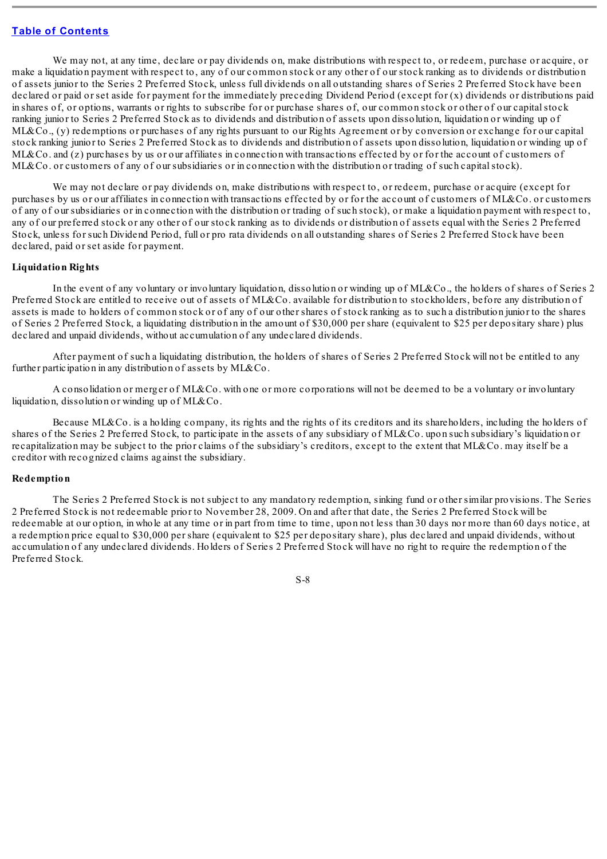We may not, at any time, declare or pay dividends on, make distributions with respect to, or redeem, purchase or acquire, or make a liquidation payment with respect to, any of our common stock or any other of our stock ranking as to dividends or distribution of assets junior to the Series 2 Preferred Stock, unless full dividends on all outstanding shares of Series 2 Preferred Stock have been declared or paid or set aside for payment for the immediately preceding Dividend Period (except for (x) dividends or distributions paid in shares of, or options, warrants or rights to subscribe for or purchase shares of, our common stock or other of our capitalstock ranking junior to Series 2 Preferred Stock as to dividends and distribution of assets upon dissolution, liquidation or winding up of ML&Co., (y) redemptions or purchases of any rights pursuant to our Rights Agreement or by conversion or exchange for our capital stock ranking junior to Series 2 Preferred Stock as to dividends and distribution of assets upon dissolution, liquidation or winding up of ML&Co. and (z) purchases by us or our affiliates in connection with transactions effected by or for the account of customers of ML&Co. or customers of any of our subsidiaries or in connection with the distribution or trading of such capital stock).

We may not declare or pay dividends on, make distributions with respect to, or redeem, purchase or acquire (except for purchases by us or our affiliates in connection with transactions effected by or for the account of customers of ML&Co. or customers of any of our subsidiaries or in connection with the distribution or trading of such stock), or make a liquidation payment with respect to, any of our preferred stock or any other of our stock ranking as to dividends or distribution of assets equal with the Series 2 Preferred Stock, unless for such Dividend Period, full or pro rata dividends on all outstanding shares of Series 2 Preferred Stock have been declared, paid or set aside for payment.

#### **Liquidation Rights**

In the event of any voluntary or involuntary liquidation, dissolution or winding up of ML&Co., the holders of shares of Series 2 Preferred Stock are entitled to receive out of assets of ML&Co. available for distribution to stockholders, before any distribution of assets is made to holders of common stock or of any of our other shares of stock ranking as to such a distribution junior to the shares of Series 2 Preferred Stock, a liquidating distribution in the amount of \$30,000 per share (equivalent to \$25 per depositary share) plus declared and unpaid dividends, without accumulation of any undeclared dividends.

After payment of such a liquidating distribution, the holders of shares of Series 2 Preferred Stock will not be entitled to any further participation in any distribution of assets by ML&Co.

A consolidation or merger of ML&Co. with one or more corporations will not be deemed to be a voluntary or involuntary liquidation, dissolution or winding up of ML&Co.

Because ML&Co. is a holding company, its rights and the rights of its creditors and its shareholders, including the holders of shares of the Series 2 Preferred Stock, to participate in the assets of any subsidiary of ML&Co. upon such subsidiary's liquidation or recapitalization may be subject to the prior claims of the subsidiary's creditors, except to the extent that ML&Co. may itself be a creditor with recognized claims against the subsidiary.

#### **Redemption**

The Series 2 Preferred Stock is not subject to any mandatory redemption, sinking fund or other similar provisions. The Series 2 Preferred Stock is not redeemable prior to November 28, 2009. On and after that date, the Series 2 Preferred Stock will be redeemable at our option, in whole at any time or in part from time to time, upon not less than 30 days nor more than 60 days notice, at a redemption price equal to \$30,000 per share (equivalent to \$25 per depositary share), plus declared and unpaid dividends, without accumulation of any undeclared dividends. Holders of Series 2 Preferred Stock will have no right to require the redemption of the Preferred Stock.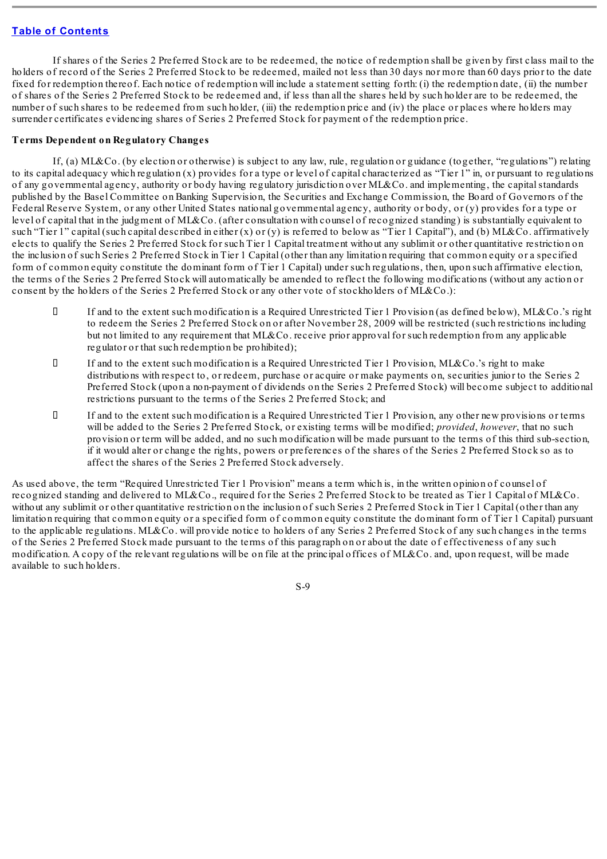If shares of the Series 2 Preferred Stock are to be redeemed, the notice of redemption shall be given by first class mail to the holders of record of the Series 2 Preferred Stock to be redeemed, mailed not less than 30 days nor more than 60 days prior to the date fixed for redemption thereof. Each notice of redemption will include a statement setting forth: (i) the redemption date, (ii) the number of shares of the Series 2 Preferred Stock to be redeemed and, if less than all the shares held by such holder are to be redeemed, the number of such shares to be redeemed from such holder, (iii) the redemption price and (iv) the place or places where holders may surrender certificates evidencing shares of Series 2 Preferred Stock for payment of the redemption price.

## **Terms Dependent on Regulatory Changes**

If, (a) ML&Co. (by election or otherwise) is subject to any law, rule, regulation or guidance (together, "regulations") relating to its capital adequacy which regulation (x) provides for a type or level of capital characterized as "Tier 1" in, or pursuant to regulations of any governmental agency, authority or body having regulatory jurisdiction over ML&Co. and implementing, the capitalstandards published by the Basel Committee on Banking Supervision, the Securities and Exchange Commission, the Board of Governors of the Federal Reserve System, or any other United States national governmental agency, authority or body, or (y) provides for a type or level of capital that in the judgment of ML&Co. (after consultation with counsel of recognized standing) is substantially equivalent to such "Tier 1" capital (such capital described in either  $(x)$  or  $(y)$  is referred to below as "Tier 1 Capital"), and (b) ML&Co. affirmatively elects to qualify the Series 2 Preferred Stock for such Tier 1 Capital treatment without any sublimit or other quantitative restriction on the inclusion of such Series 2 Preferred Stock in Tier 1 Capital (other than any limitation requiring that common equity or a specified form of common equity constitute the dominant form of Tier 1 Capital) under such regulations, then, upon such affirmative election, the terms of the Series 2 Preferred Stock will automatically be amended to reflect the following modifications (without any action or consent by the holders of the Series 2 Preferred Stock or any other vote of stockholders of ML&Co.):

- If and to the extent such modification is a Required Unrestricted Tier 1 Provision (as defined below), ML&Co.'s right to redeem the Series 2 Preferred Stock on or after November 28, 2009 will be restricted (such restrictions including but not limited to any requirement that ML&Co. receive prior approval for such redemption from any applicable regulator or that such redemption be prohibited);
- If and to the extent such modification is a Required Unrestricted Tier 1 Provision, ML&Co.'s right to make distributions with respect to, or redeem, purchase or acquire or make payments on, securities junior to the Series 2 Preferred Stock (upon a non-payment of dividends on the Series 2 Preferred Stock) will become subject to additional restrictions pursuant to the terms of the Series 2 Preferred Stock; and
- If and to the extent such modification is a Required Unrestricted Tier 1 Provision, any other new provisions or terms will be added to the Series 2 Preferred Stock, or existing terms will be modified; *provided*, *however*, that no such provision or term will be added, and no such modification will be made pursuant to the terms of this third sub-section, if it would alter or change the rights, powers or preferences of the shares of the Series 2 Preferred Stock so as to affect the shares of the Series 2 Preferred Stock adversely.

As used above, the term "Required Unrestricted Tier 1 Provision" means a term which is, in the written opinion of counsel of recognized standing and delivered to ML&Co., required for the Series 2 Preferred Stock to be treated as Tier 1 Capital of ML&Co. without any sublimit or other quantitative restriction on the inclusion of such Series 2 Preferred Stock in Tier 1 Capital (other than any limitation requiring that common equity or a specified form of common equity constitute the dominant form of Tier 1 Capital) pursuant to the applicable regulations. ML&Co. will provide notice to holders of any Series 2 Preferred Stock of any such changes in the terms of the Series 2 Preferred Stock made pursuant to the terms of this paragraph on or about the date of effectiveness of any such modification. A copy of the relevant regulations will be on file at the principal offices of ML&Co. and, upon request, will be made available to such holders.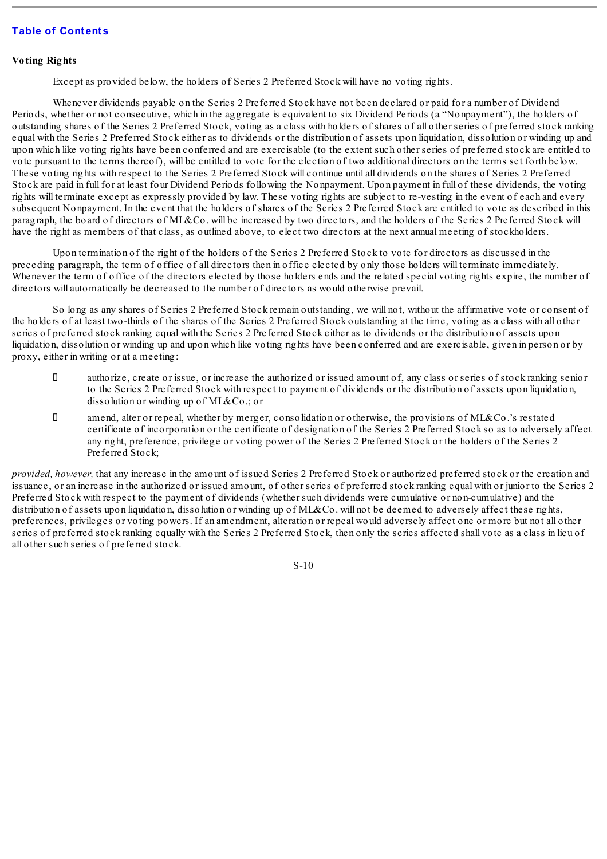#### **Voting Rights**

Except as provided below, the holders of Series 2 Preferred Stock will have no voting rights.

Whenever dividends payable on the Series 2 Preferred Stock have not been declared or paid for a number of Dividend Periods, whether or not consecutive, which in the aggregate is equivalent to six Dividend Periods (a "Nonpayment"), the holders of outstanding shares of the Series 2 Preferred Stock, voting as a class with holders of shares of all other series of preferred stock ranking equal with the Series 2 Preferred Stock either as to dividends or the distribution of assets upon liquidation, dissolution or winding up and upon which like voting rights have been conferred and are exercisable (to the extent such other series of preferred stock are entitled to vote pursuant to the terms thereof), will be entitled to vote for the election of two additional directors on the terms set forth below. These voting rights with respect to the Series 2 Preferred Stock will continue until all dividends on the shares of Series 2 Preferred Stock are paid in full for at least four Dividend Periods following the Nonpayment. Upon payment in full of these dividends, the voting rights will terminate except as expressly provided by law. These voting rights are subject to re-vesting in the event of each and every subsequent Nonpayment. In the event that the holders of shares of the Series 2 Preferred Stock are entitled to vote as described in this paragraph, the board of directors of ML&Co. will be increased by two directors, and the holders of the Series 2 Preferred Stock will have the right as members of that class, as outlined above, to elect two directors at the next annual meeting of stockholders.

Upon termination of the right of the holders of the Series 2 Preferred Stock to vote for directors as discussed in the preceding paragraph, the term of office of all directors then in office elected by only those holders will terminate immediately. Whenever the term of office of the directors elected by those holders ends and the related special voting rights expire, the number of directors will automatically be decreased to the number of directors as would otherwise prevail.

So long as any shares of Series 2 Preferred Stock remain outstanding, we will not, without the affirmative vote or consent of the holders of at least two-thirds of the shares of the Series 2 Preferred Stock outstanding at the time, voting as a class with all other series of preferred stock ranking equal with the Series 2 Preferred Stock either as to dividends or the distribution of assets upon liquidation, dissolution or winding up and upon which like voting rights have been conferred and are exercisable, given in person or by proxy, either in writing or at a meeting:

- authorize, create or issue, or increase the authorized or issued amount of, any class or series of stock ranking senior to the Series 2 Preferred Stock with respect to payment of dividends or the distribution of assets upon liquidation, dissolution or winding up of ML&Co.; or
- amend, alter or repeal, whether by merger, consolidation or otherwise, the provisions of ML&Co.'s restated certificate of incorporation or the certificate of designation of the Series 2 Preferred Stock so as to adversely affect any right, preference, privilege or voting power of the Series 2 Preferred Stock or the holders of the Series 2 Preferred Stock;

*provided, however,* that any increase in the amount of issued Series 2 Preferred Stock or authorized preferred stock or the creation and issuance, or an increase in the authorized or issued amount, of other series of preferred stock ranking equal with or junior to the Series 2 Preferred Stock with respect to the payment of dividends (whether such dividends were cumulative or non-cumulative) and the distribution of assets upon liquidation, dissolution or winding up of ML&Co, will not be deemed to adversely affect these rights, preferences, privileges or voting powers. If an amendment, alteration or repeal would adversely affect one or more but not all other series of preferred stock ranking equally with the Series 2 Preferred Stock, then only the series affected shall vote as a class in lieu of all other such series of preferred stock.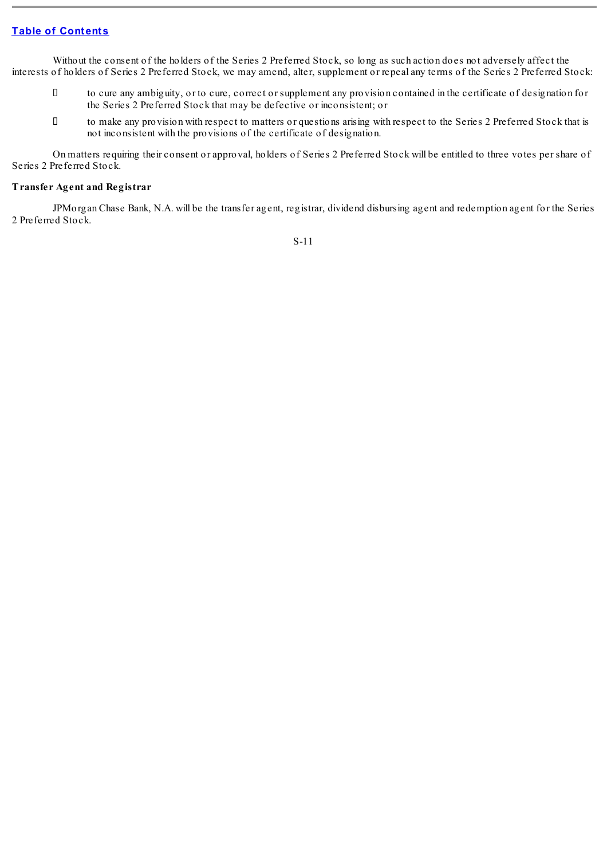Without the consent of the holders of the Series 2 Preferred Stock, so long as such action does not adversely affect the interests of holders of Series 2 Preferred Stock, we may amend, alter, supplement or repeal any terms of the Series 2 Preferred Stock:

- to cure any ambiguity, or to cure, correct or supplement any provision contained in the certificate of designation for the Series 2 Preferred Stock that may be defective or inconsistent; or
- to make any provision with respect to matters or questions arising with respect to the Series 2 Preferred Stock that is not inconsistent with the provisions of the certificate of designation.

On matters requiring their consent or approval, holders of Series 2 Preferred Stock will be entitled to three votes per share of Series 2 Preferred Stock.

## **Transfer Agent and Registrar**

JPMorgan Chase Bank, N.A. will be the transfer agent, registrar, dividend disbursing agent and redemption agent for the Series 2 Preferred Stock.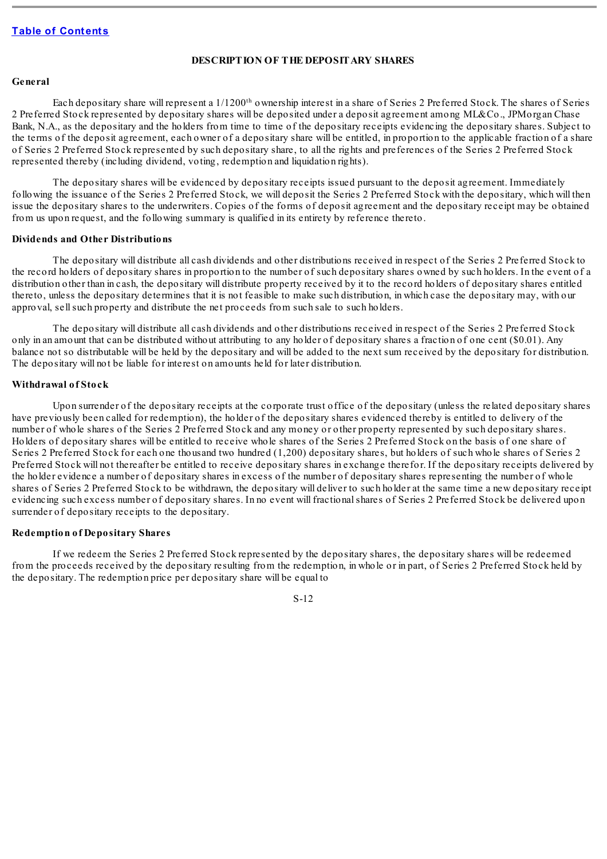#### **DESCRIPTION OF THE DEPOSITARY SHARES**

#### <span id="page-11-0"></span>**General**

Each depositary share will represent a  $1/1200$ <sup>th</sup> ownership interest in a share of Series 2 Preferred Stock. The shares of Series 2 Preferred Stock represented by depositary shares will be deposited under a deposit agreement among ML&Co., JPMorgan Chase Bank, N.A., as the depositary and the holders from time to time of the depositary receipts evidencing the depositary shares. Subject to the terms of the deposit agreement, each owner of a depositary share will be entitled, in proportion to the applicable fraction of a share of Series 2 Preferred Stock represented by such depositary share, to all the rights and preferences of the Series 2 Preferred Stock represented thereby (including dividend, voting, redemption and liquidation rights).

The depositary shares will be evidenced by depositary receipts issued pursuant to the deposit agreement. Immediately following the issuance of the Series 2 Preferred Stock, we will deposit the Series 2 Preferred Stock with the depositary, which will then issue the depositary shares to the underwriters. Copies of the forms of deposit agreement and the depositary receipt may be obtained from us upon request, and the following summary is qualified in its entirety by reference thereto.

#### **Dividends and Other Distributions**

The depositary will distribute all cash dividends and other distributions received in respect of the Series 2 Preferred Stock to the record holders of depositary shares in proportion to the number of such depositary shares owned by such holders. In the event of a distribution other than in cash, the depositary will distribute property received by it to the record holders of depositary shares entitled thereto, unless the depositary determines that it is not feasible to make such distribution, in which case the depositary may, with our approval, sellsuch property and distribute the net proceeds from such sale to such holders.

The depositary will distribute all cash dividends and other distributions received in respect of the Series 2 Preferred Stock only in an amount that can be distributed without attributing to any holder of depositary shares a fraction of one cent (\$0.01). Any balance not so distributable will be held by the depositary and will be added to the next sum received by the depositary for distribution. The depositary will not be liable for interest on amounts held for later distribution.

#### **Withdrawal of Stock**

Upon surrender of the depositary receipts at the corporate trust office of the depositary (unless the related depositary shares have previously been called for redemption), the holder of the depositary shares evidenced thereby is entitled to delivery of the number of whole shares of the Series 2 Preferred Stock and any money or other property represented by such depositary shares. Holders of depositary shares will be entitled to receive whole shares of the Series 2 Preferred Stock on the basis of one share of Series 2 Preferred Stock for each one thousand two hundred (1,200) depositary shares, but holders of such whole shares of Series 2 Preferred Stock will not thereafter be entitled to receive depositary shares in exchange therefor. If the depositary receipts delivered by the holder evidence a number of depositary shares in excess of the number of depositary shares representing the number of whole shares of Series 2 Preferred Stock to be withdrawn, the depositary will deliver to such holder at the same time a new depositary receipt evidencing such excess number of depositary shares. In no event will fractionalshares of Series 2 Preferred Stock be delivered upon surrender of depositary receipts to the depositary.

#### **Redemption of Depositary Shares**

If we redeem the Series 2 Preferred Stock represented by the depositary shares, the depositary shares will be redeemed from the proceeds received by the depositary resulting from the redemption, in whole or in part, of Series 2 Preferred Stock held by the depositary. The redemption price per depositary share will be equal to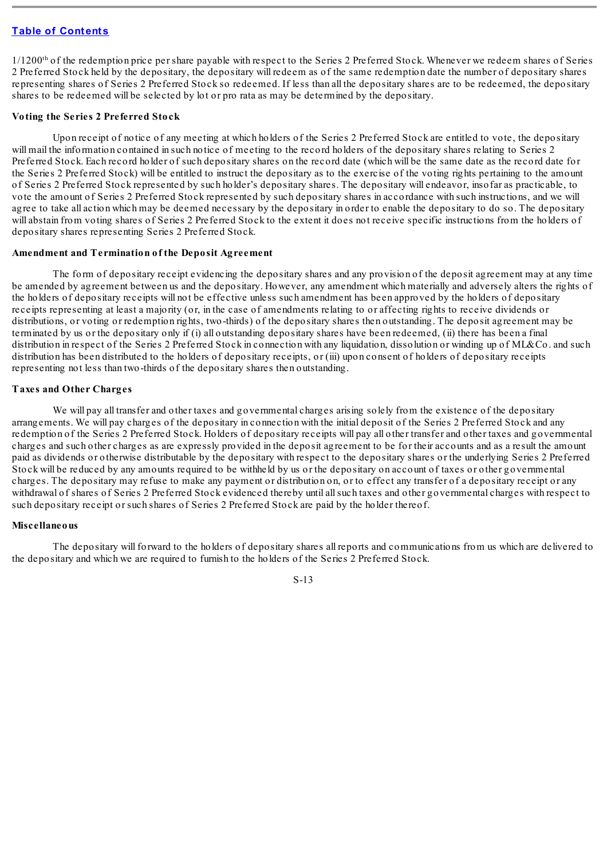1/1200<sup>th</sup> of the redemption price per share payable with respect to the Series 2 Preferred Stock. Whenever we redeem shares of Series 2 Preferred Stock held by the depositary, the depositary will redeem as of the same redemption date the number of depositary shares representing shares of Series 2 Preferred Stock so redeemed. If less than all the depositary shares are to be redeemed, the depositary shares to be redeemed will be selected by lot or pro rata as may be determined by the depositary.

#### **Voting the Series 2 Preferred Stock**

Upon receipt of notice of any meeting at which holders of the Series 2 Preferred Stock are entitled to vote, the depositary will mail the information contained in such notice of meeting to the record holders of the depositary shares relating to Series 2 Preferred Stock. Each record holder of such depositary shares on the record date (which will be the same date as the record date for the Series 2 Preferred Stock) will be entitled to instruct the depositary as to the exercise of the voting rights pertaining to the amount of Series 2 Preferred Stock represented by such holder's depositary shares. The depositary will endeavor, insofar as practicable, to vote the amount of Series 2 Preferred Stock represented by such depositary shares in accordance with such instructions, and we will agree to take all action which may be deemed necessary by the depositary in order to enable the depositary to do so. The depositary will abstain from voting shares of Series 2 Preferred Stock to the extent it does not receive specific instructions from the holders of depositary shares representing Series 2 Preferred Stock.

#### **Amendment and Termination of the Deposit Agreement**

The form of depositary receipt evidencing the depositary shares and any provision of the deposit agreement may at any time be amended by agreement between us and the depositary. However, any amendment which materially and adversely alters the rights of the holders of depositary receipts will not be effective unless such amendment has been approved by the holders of depositary receipts representing at least a majority (or, in the case of amendments relating to or affecting rights to receive dividends or distributions, or voting or redemption rights, two-thirds) of the depositary shares then outstanding. The deposit agreement may be terminated by us or the depositary only if (i) all outstanding depositary shares have been redeemed, (ii) there has been a final distribution in respect of the Series 2 Preferred Stock in connection with any liquidation, dissolution or winding up of ML&Co. and such distribution has been distributed to the holders of depositary receipts, or (iii) upon consent of holders of depositary receipts representing not less than two-thirds of the depositary shares then outstanding.

## **Taxes and Other Charges**

We will pay all transfer and other taxes and governmental charges arising solely from the existence of the depositary arrangements. We will pay charges of the depositary in connection with the initial deposit of the Series 2 Preferred Stock and any redemption of the Series 2 Preferred Stock. Holders of depositary receipts will pay all other transfer and other taxes and governmental charges and such other charges as are expressly provided in the deposit agreement to be for their accounts and as a result the amount paid as dividends or otherwise distributable by the depositary with respect to the depositary shares or the underlying Series 2 Preferred Stock will be reduced by any amounts required to be withheld by us or the depositary on account of taxes or other governmental charges. The depositary may refuse to make any payment or distribution on, or to effect any transfer of a depositary receipt or any withdrawal of shares of Series 2 Preferred Stock evidenced thereby until allsuch taxes and other governmental charges with respect to such depositary receipt or such shares of Series 2 Preferred Stock are paid by the holder thereof.

#### **Miscellaneous**

The depositary will forward to the holders of depositary shares all reports and communications from us which are delivered to the depositary and which we are required to furnish to the holders of the Series 2 Preferred Stock.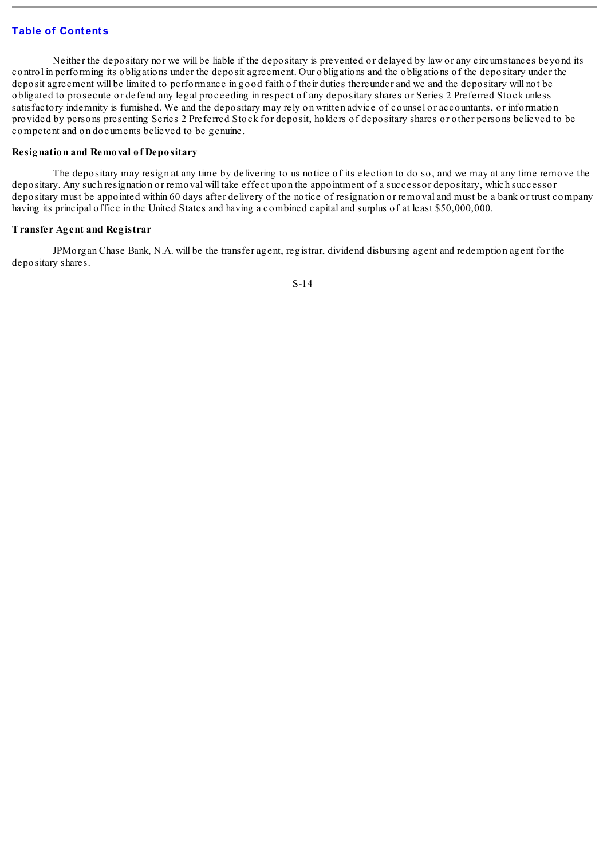Neither the depositary nor we will be liable if the depositary is prevented or delayed by law or any circumstances beyond its control in performing its obligations under the deposit agreement. Our obligations and the obligations of the depositary under the deposit agreement will be limited to performance in good faith of their duties thereunder and we and the depositary will not be obligated to prosecute or defend any legal proceeding in respect of any depositary shares or Series 2 Preferred Stock unless satisfactory indemnity is furnished. We and the depositary may rely on written advice of counsel or accountants, or information provided by persons presenting Series 2 Preferred Stock for deposit, holders of depositary shares or other persons believed to be competent and on documents believed to be genuine.

#### **Resignation and Removal of Depositary**

The depositary may resign at any time by delivering to us notice of its election to do so, and we may at any time remove the depositary. Any such resignation or removal will take effect upon the appointment of a successor depositary, which successor depositary must be appointed within 60 days after delivery of the notice of resignation or removal and must be a bank or trust company having its principal office in the United States and having a combined capital and surplus of at least \$50,000,000.

#### **Transfer Agent and Registrar**

JPMorgan Chase Bank, N.A. will be the transfer agent, registrar, dividend disbursing agent and redemption agent for the depositary shares.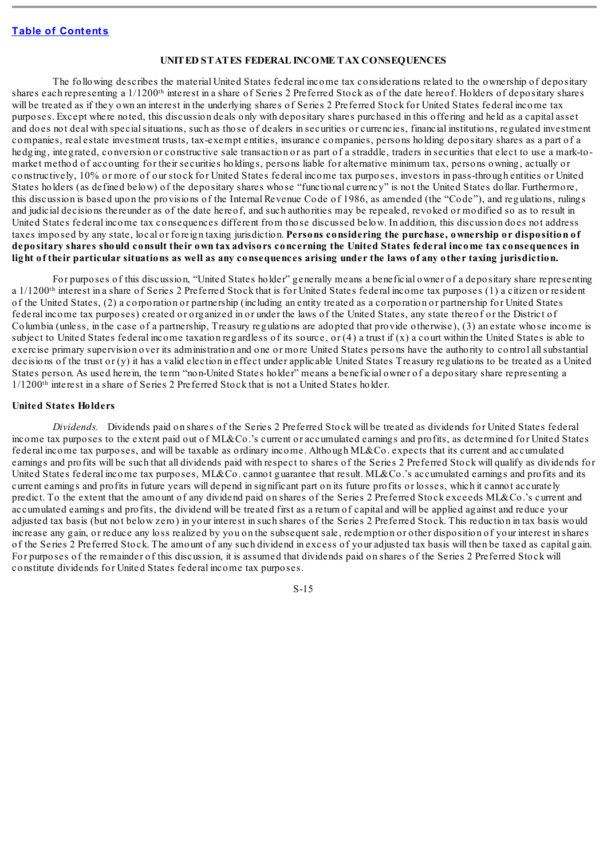#### **UNITED STATES FEDERAL INCOME TAX CONSEQUENCES**

<span id="page-14-0"></span>The following describes the material United States federal income tax considerations related to the ownership of depositary shares each representing a  $1/1200$ <sup>th</sup> interest in a share of Series 2 Preferred Stock as of the date hereof. Holders of depositary shares will be treated as if they own an interest in the underlying shares of Series 2 Preferred Stock for United States federal income tax purposes. Except where noted, this discussion deals only with depositary shares purchased in this offering and held as a capital asset and does not deal with specialsituations, such as those of dealers in securities or currencies, financial institutions, regulated investment companies, real estate investment trusts, tax-exempt entities, insurance companies, persons holding depositary shares as a part of a hedging, integrated, conversion or constructive sale transaction or as part of a straddle, traders in securities that elect to use a mark-tomarket method of accounting for their securities holdings, persons liable for alternative minimum tax, persons owning, actually or constructively, 10% or more of our stock for United States federal income tax purposes, investors in pass-through entities or United States holders (as defined below) of the depositary shares whose "functional currency" is not the United States dollar. Furthermore, this discussion is based upon the provisions of the Internal Revenue Code of 1986, as amended (the "Code"), and regulations, rulings and judicial decisions thereunder as of the date hereof, and such authorities may be repealed, revoked or modified so as to result in United States federal income tax consequences different from those discussed below. In addition, this discussion does not address taxes imposed by any state, local or foreign taxing jurisdiction. **Persons considering the purchase, ownership or disposition of** depositary shares should consult their own tax advisors concerning the United States federal income tax consequences in light of their particular situations as well as any consequences arising under the laws of any other taxing jurisdiction.

For purposes of this discussion, "United States holder" generally means a beneficial owner of a depositary share representing a 1/1200<sup>th</sup> interest in a share of Series 2 Preferred Stock that is for United States federal income tax purposes (1) a citizen or resident of the United States, (2) a corporation or partnership (including an entity treated as a corporation or partnership for United States federal income tax purposes) created or organized in or under the laws of the United States, any state thereof or the District of Columbia (unless, in the case of a partnership, Treasury regulations are adopted that provide otherwise), (3) an estate whose income is subject to United States federal income taxation regardless of its source, or (4) a trust if (x) a court within the United States is able to exercise primary supervision over its administration and one or more United States persons have the authority to control allsubstantial decisions of the trust or  $(y)$  it has a valid election in effect under applicable United States Treasury regulations to be treated as a United States person. As used herein, the term "non-United States holder" means a beneficial owner of a depositary share representing a 1/1200<sup>th</sup> interest in a share of Series 2 Preferred Stock that is not a United States holder.

#### **United States Holders**

*Dividends.* Dividends paid on shares of the Series 2 Preferred Stock will be treated as dividends for United States federal income tax purposes to the extent paid out of ML&Co.'s current or accumulated earnings and profits, as determined for United States federal income tax purposes, and will be taxable as ordinary income. Although ML&Co. expects that its current and accumulated earnings and profits will be such that all dividends paid with respect to shares of the Series 2 Preferred Stock will qualify as dividends for United States federal income tax purposes, ML&Co. cannot guarantee that result. ML&Co.'s accumulated earnings and profits and its current earnings and profits in future years will depend in significant part on its future profits or losses, which it cannot accurately predict. To the extent that the amount of any dividend paid on shares of the Series 2 Preferred Stock exceeds ML&Co.'s current and accumulated earnings and profits, the dividend will be treated first as a return of capital and will be applied against and reduce your adjusted tax basis (but not below zero) in your interest in such shares of the Series 2 Preferred Stock. This reduction in tax basis would increase any gain, or reduce any loss realized by you on the subsequent sale, redemption or other disposition of your interest in shares of the Series 2 Preferred Stock. The amount of any such dividend in excess of your adjusted tax basis will then be taxed as capital gain. For purposes of the remainder of this discussion, it is assumed that dividends paid on shares of the Series 2 Preferred Stock will constitute dividends for United States federal income tax purposes.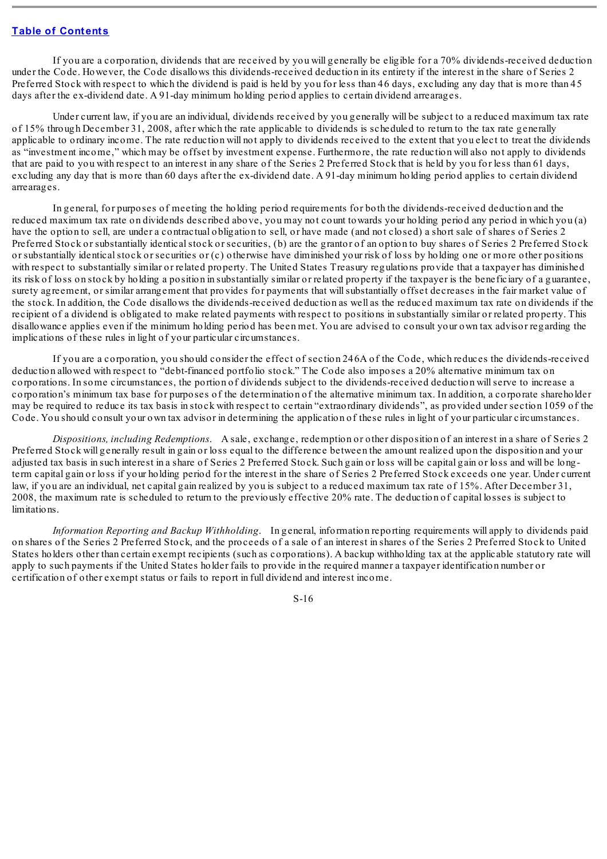If you are a corporation, dividends that are received by you will generally be eligible for a 70% dividends-received deduction under the Code. However, the Code disallows this dividends-received deduction in its entirety if the interest in the share of Series 2 Preferred Stock with respect to which the dividend is paid is held by you for less than 46 days, excluding any day that is more than 45 days after the ex-dividend date. A 91-day minimum holding period applies to certain dividend arrearages.

Under current law, if you are an individual, dividends received by you generally will be subject to a reduced maximum tax rate of 15% through December 31, 2008, after which the rate applicable to dividends is scheduled to return to the tax rate generally applicable to ordinary income. The rate reduction will not apply to dividends received to the extent that you elect to treat the dividends as "investment income," which may be offset by investment expense. Furthermore, the rate reduction will also not apply to dividends that are paid to you with respect to an interest in any share of the Series 2 Preferred Stock that is held by you for less than 61 days, excluding any day that is more than 60 days after the ex-dividend date. A 91-day minimum holding period applies to certain dividend arrearages.

In general, for purposes of meeting the holding period requirements for both the dividends-received deduction and the reduced maximum tax rate on dividends described above, you may not count towards your holding period any period in which you (a) have the option to sell, are under a contractual obligation to sell, or have made (and not closed) a short sale of shares of Series 2 Preferred Stock or substantially identical stock or securities, (b) are the grantor of an option to buy shares of Series 2 Preferred Stock or substantially identicalstock or securities or (c) otherwise have diminished your risk of loss by holding one or more other positions with respect to substantially similar or related property. The United States Treasury regulations provide that a taxpayer has diminished its risk of loss on stock by holding a position in substantially similar or related property if the taxpayer is the beneficiary of a guarantee, surety agreement, or similar arrangement that provides for payments that willsubstantially offset decreases in the fair market value of the stock. In addition, the Code disallows the dividends-received deduction as well as the reduced maximum tax rate on dividends if the recipient of a dividend is obligated to make related payments with respect to positions in substantially similar or related property. This disallowance applies even if the minimum holding period has been met. You are advised to consult your own tax advisor regarding the implications of these rules in light of your particular circumstances.

If you are a corporation, you should consider the effect of section 246A of the Code, which reduces the dividends-received deduction allowed with respect to "debt-financed portfolio stock." The Code also imposes a 20% alternative minimum tax on corporations. In some circumstances, the portion of dividends subject to the dividends-received deduction willserve to increase a corporation's minimum tax base for purposes of the determination of the alternative minimum tax. In addition, a corporate shareholder may be required to reduce its tax basis in stock with respect to certain "extraordinary dividends", as provided under section 1059 of the Code. You should consult your own tax advisor in determining the application of these rules in light of your particular circumstances.

*Dispositions, including Redemptions*. A sale, exchange, redemption or other disposition of an interest in a share of Series 2 Preferred Stock will generally result in gain or loss equal to the difference between the amount realized upon the disposition and your adjusted tax basis in such interest in a share of Series 2 Preferred Stock. Such gain or loss will be capital gain or loss and will be longterm capital gain or loss if your holding period for the interest in the share of Series 2 Preferred Stock exceeds one year. Under current law, if you are an individual, net capital gain realized by you is subject to a reduced maximum tax rate of 15%. After December 31, 2008, the maximum rate is scheduled to return to the previously effective 20% rate. The deduction of capital losses is subject to limitations.

*Information Reporting and Backup Withholding*. In general, information reporting requirements will apply to dividends paid on shares of the Series 2 Preferred Stock, and the proceeds of a sale of an interest in shares of the Series 2 Preferred Stock to United States holders other than certain exempt recipients (such as corporations). A backup withholding tax at the applicable statutory rate will apply to such payments if the United States holder fails to provide in the required manner a taxpayer identification number or certification of other exempt status or fails to report in full dividend and interest income.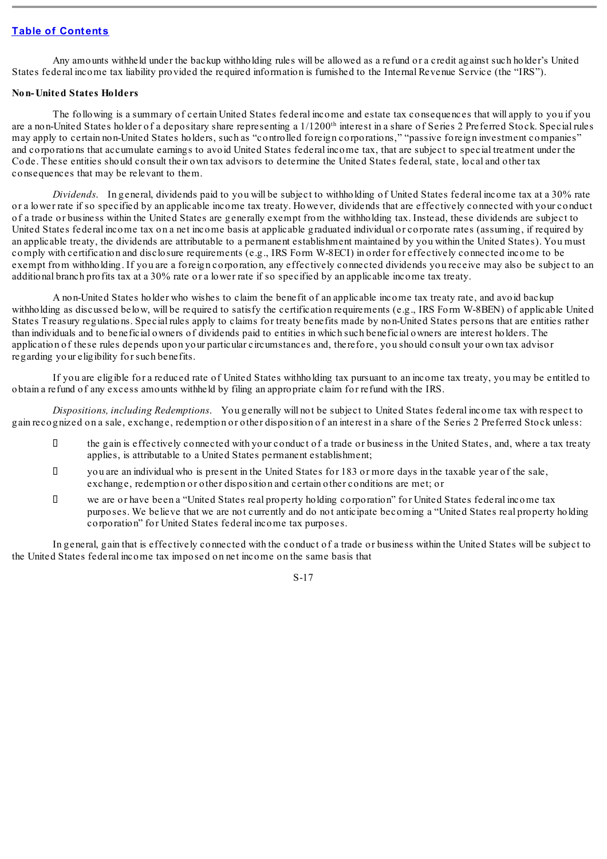Any amounts withheld under the backup withholding rules will be allowed as a refund or a credit against such holder's United States federal income tax liability provided the required information is furnished to the Internal Revenue Service (the "IRS").

#### **Non-United States Holders**

The following is a summary of certain United States federal income and estate tax consequences that will apply to you if you are a non-United States holder of a depositary share representing a  $1/1200$ <sup>th</sup> interest in a share of Series 2 Preferred Stock. Special rules may apply to certain non-United States holders, such as "controlled foreign corporations," "passive foreign investment companies" and corporations that accumulate earnings to avoid United States federal income tax, that are subject to special treatment under the Code. These entities should consult their own tax advisors to determine the United States federal, state, local and other tax consequences that may be relevant to them.

*Dividends*. In general, dividends paid to you will be subject to withholding of United States federal income tax at a 30% rate or a lower rate if so specified by an applicable income tax treaty. However, dividends that are effectively connected with your conduct of a trade or business within the United States are generally exempt from the withholding tax. Instead, these dividends are subject to United States federal income tax on a net income basis at applicable graduated individual or corporate rates (assuming, if required by an applicable treaty, the dividends are attributable to a permanent establishment maintained by you within the United States). You must comply with certification and disclosure requirements (e.g., IRS Form W-8ECI) in order for effectively connected income to be exempt from withholding. If you are a foreign corporation, any effectively connected dividends you receive may also be subject to an additional branch profits tax at a 30% rate or a lower rate if so specified by an applicable income tax treaty.

A non-United States holder who wishes to claim the benefit of an applicable income tax treaty rate, and avoid backup withholding as discussed below, will be required to satisfy the certification requirements (e.g., IRS Form W-8BEN) of applicable United States Treasury regulations. Special rules apply to claims for treaty benefits made by non-United States persons that are entities rather than individuals and to beneficial owners of dividends paid to entities in which such beneficial owners are interest holders. The application of these rules depends upon your particular circumstances and, therefore, you should consult your own tax advisor regarding your eligibility for such benefits.

If you are eligible for a reduced rate of United States withholding tax pursuant to an income tax treaty, you may be entitled to obtain a refund of any excess amounts withheld by filing an appropriate claim for refund with the IRS.

*Dispositions, including Redemptions*. You generally will not be subject to United States federal income tax with respect to gain recognized on a sale, exchange, redemption or other disposition of an interest in a share of the Series 2 Preferred Stock unless:

- $\Box$  the gain is effectively connected with your conduct of a trade or business in the United States, and, where a tax treaty applies, is attributable to a United States permanent establishment;
- you are an individual who is present in the United States for 183 or more days in the taxable year of the sale, exchange, redemption or other disposition and certain other conditions are met; or
- we are or have been a "United States real property holding corporation" for United States federal income tax purposes. We believe that we are not currently and do not anticipate becoming a "United States real property holding corporation" for United States federal income tax purposes.

In general, gain that is effectively connected with the conduct of a trade or business within the United States will be subject to the United States federal income tax imposed on net income on the same basis that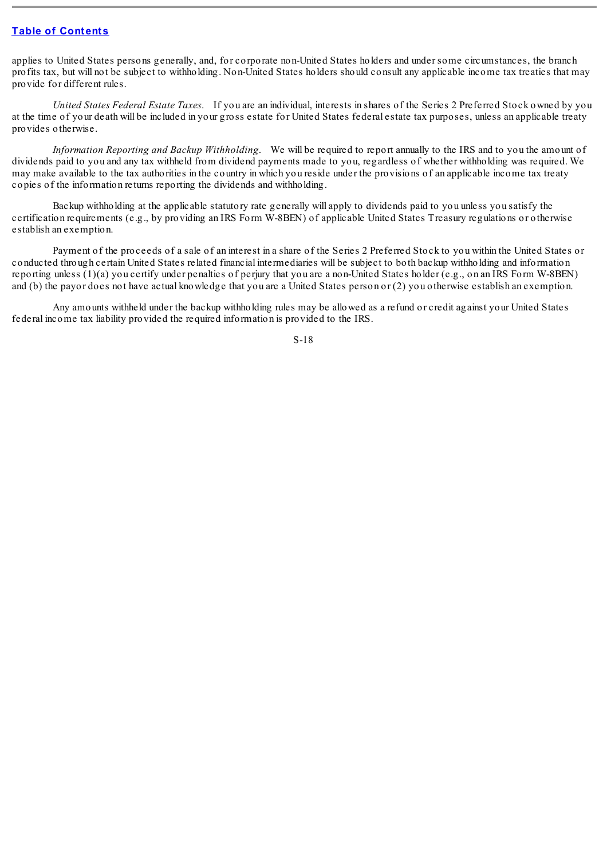applies to United States persons generally, and, for corporate non-United States holders and under some circumstances, the branch profits tax, but will not be subject to withholding. Non-United States holders should consult any applicable income tax treaties that may provide for different rules.

*United States Federal Estate Taxes*. If you are an individual, interests in shares of the Series 2 Preferred Stock owned by you at the time of your death will be included in your gross estate for United States federal estate tax purposes, unless an applicable treaty provides otherwise.

*Information Reporting and Backup Withholding*. We will be required to report annually to the IRS and to you the amount of dividends paid to you and any tax withheld from dividend payments made to you, regardless of whether withholding was required. We may make available to the tax authorities in the country in which you reside under the provisions of an applicable income tax treaty copies of the information returns reporting the dividends and withholding.

Backup withholding at the applicable statutory rate generally will apply to dividends paid to you unless you satisfy the certification requirements (e.g., by providing an IRS Form W-8BEN) of applicable United States Treasury regulations or otherwise establish an exemption.

Payment of the proceeds of a sale of an interest in a share of the Series 2 Preferred Stock to you within the United States or conducted through certain United States related financial intermediaries will be subject to both backup withholding and information reporting unless (1)(a) you certify under penalties of perjury that you are a non-United States holder (e.g., on an IRS Form W-8BEN) and (b) the payor does not have actual knowledge that you are a United States person or (2) you otherwise establish an exemption.

Any amounts withheld under the backup withholding rules may be allowed as a refund or credit against your United States federal income tax liability provided the required information is provided to the IRS.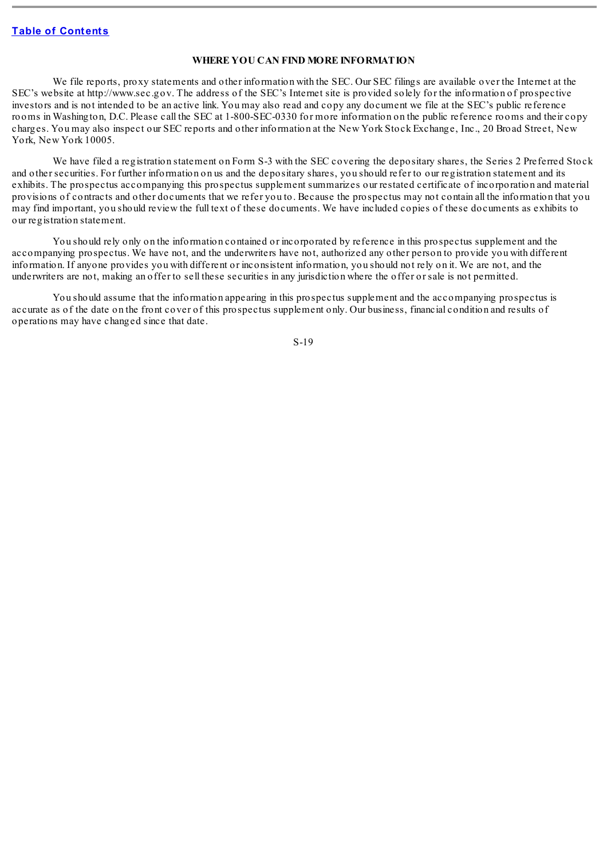#### **WHERE YOU CAN FIND MORE INFORMATION**

<span id="page-18-0"></span>We file reports, proxy statements and other information with the SEC. Our SEC filings are available over the Internet at the SEC's website at http://www.sec.gov. The address of the SEC's Internet site is provided solely for the information of prospective investors and is not intended to be an active link. You may also read and copy any document we file at the SEC's public reference rooms in Washington, D.C. Please call the SEC at 1-800-SEC-0330 for more information on the public reference rooms and their copy charges. You may also inspect our SEC reports and other information at the New York Stock Exchange, Inc., 20 Broad Street, New York, New York 10005.

We have filed a registration statement on Form S-3 with the SEC covering the depositary shares, the Series 2 Preferred Stock and other securities. For further information on us and the depositary shares, you should refer to our registration statement and its exhibits. The prospectus accompanying this prospectus supplement summarizes our restated certificate of incorporation and material provisions of contracts and other documents that we refer you to. Because the prospectus may not contain all the information that you may find important, you should review the full text of these documents. We have included copies of these documents as exhibits to our registration statement.

You should rely only on the information contained or incorporated by reference in this prospectus supplement and the accompanying prospectus. We have not, and the underwriters have not, authorized any other person to provide you with different information. If anyone provides you with different or inconsistent information, you should not rely on it. We are not, and the underwriters are not, making an offer to sell these securities in any jurisdiction where the offer or sale is not permitted.

You should assume that the information appearing in this prospectus supplement and the accompanying prospectus is accurate as of the date on the front cover of this prospectus supplement only. Our business, financial condition and results of operations may have changed since that date.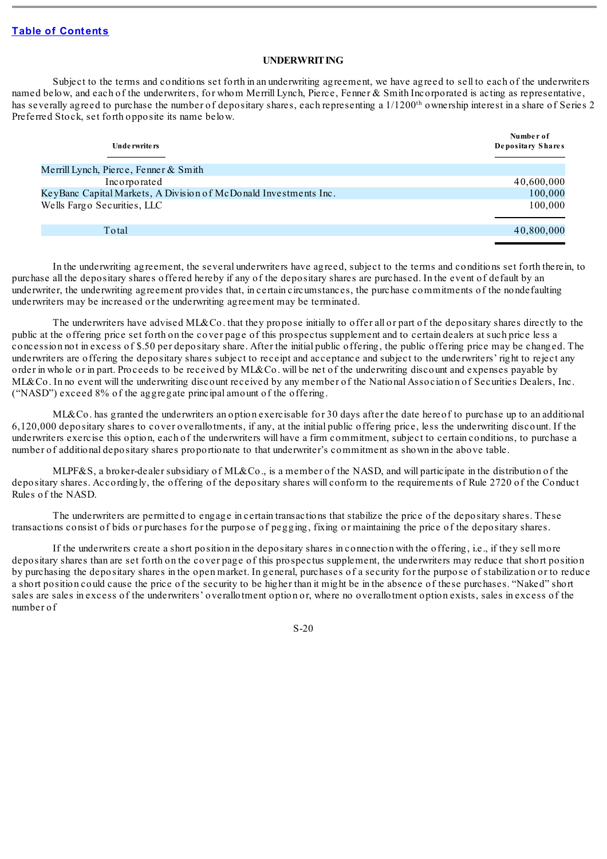#### **UNDERWRITING**

Subject to the terms and conditions set forth in an underwriting agreement, we have agreed to sell to each of the underwriters named below, and each of the underwriters, for whom Merrill Lynch, Pierce, Fenner & Smith Incorporated is acting as representative, has severally agreed to purchase the number of depositary shares, each representing a  $1/1200<sup>th</sup>$  ownership interest in a share of Series 2 Preferred Stock, set forth opposite its name below.

| Unde rwrite rs                                                   | Number of<br>Depositary Shares |
|------------------------------------------------------------------|--------------------------------|
| Merrill Lynch, Pierce, Fenner $& Smith$                          |                                |
| Incorporated                                                     | 40,600,000                     |
| KeyBanc Capital Markets, A Division of McDonald Investments Inc. | 100,000                        |
| Wells Fargo Securities, LLC                                      | 100,000                        |
| Total                                                            | 40,800,000                     |

In the underwriting agreement, the several underwriters have agreed, subject to the terms and conditions set forth therein, to purchase all the depositary shares offered hereby if any of the depositary shares are purchased. In the event of default by an underwriter, the underwriting agreement provides that, in certain circumstances, the purchase commitments of the nondefaulting underwriters may be increased or the underwriting agreement may be terminated.

The underwriters have advised ML&Co. that they propose initially to offer all or part of the depositary shares directly to the public at the offering price set forth on the cover page of this prospectus supplement and to certain dealers at such price less a concession not in excess of \$.50 per depositary share. After the initial public offering, the public offering price may be changed. The underwriters are offering the depositary shares subject to receipt and acceptance and subject to the underwriters' right to reject any order in whole or in part. Proceeds to be received by ML&Co. will be net of the underwriting discount and expenses payable by ML&Co. In no event will the underwriting discount received by any member of the National Association of Securities Dealers, Inc. ("NASD") exceed 8% of the aggregate principal amount of the offering.

ML&Co. has granted the underwriters an option exercisable for 30 days after the date hereof to purchase up to an additional 6,120,000 depositary shares to cover overallotments, if any, at the initial public offering price, less the underwriting discount. If the underwriters exercise this option, each of the underwriters will have a firm commitment, subject to certain conditions, to purchase a number of additional depositary shares proportionate to that underwriter's commitment as shown in the above table.

MLPF&S, a broker-dealer subsidiary of ML&Co., is a member of the NASD, and will participate in the distribution of the depositary shares. Accordingly, the offering of the depositary shares will conform to the requirements of Rule 2720 of the Conduct Rules of the NASD.

The underwriters are permitted to engage in certain transactions that stabilize the price of the depositary shares. These transactions consist of bids or purchases for the purpose of pegging, fixing or maintaining the price of the depositary shares.

If the underwriters create a short position in the depositary shares in connection with the offering, i.e., if they sell more depositary shares than are set forth on the cover page of this prospectus supplement, the underwriters may reduce that short position by purchasing the depositary shares in the open market. In general, purchases of a security for the purpose of stabilization or to reduce a short position could cause the price of the security to be higher than it might be in the absence of these purchases. "Naked" short sales are sales in excess of the underwriters' overallotment option or, where no overallotment option exists, sales in excess of the number of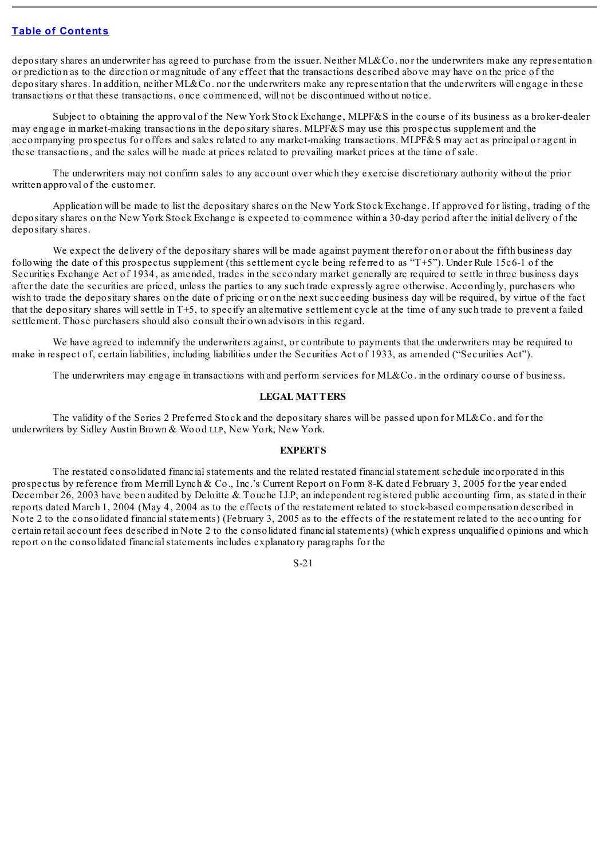depositary shares an underwriter has agreed to purchase from the issuer. Neither ML&Co. nor the underwriters make any representation or prediction as to the direction or magnitude of any effect that the transactions described above may have on the price of the depositary shares. In addition, neither ML&Co, nor the underwriters make any representation that the underwriters will engage in these transactions or that these transactions, once commenced, will not be discontinued without notice.

Subject to obtaining the approval of the New York Stock Exchange, MLPF&S in the course of its business as a broker-dealer may engage in market-making transactions in the depositary shares. MLPF&S may use this prospectus supplement and the accompanying prospectus for offers and sales related to any market-making transactions. MLPF&S may act as principal or agent in these transactions, and the sales will be made at prices related to prevailing market prices at the time of sale.

The underwriters may not confirm sales to any account over which they exercise discretionary authority without the prior written approval of the customer.

Application will be made to list the depositary shares on the New York Stock Exchange. If approved for listing, trading of the depositary shares on the New York Stock Exchange is expected to commence within a 30-day period after the initial delivery of the depositary shares.

We expect the delivery of the depositary shares will be made against payment therefor on or about the fifth business day following the date of this prospectus supplement (this settlement cycle being referred to as "T+5"). Under Rule 15c6-1 of the Securities Exchange Act of 1934, as amended, trades in the secondary market generally are required to settle in three business days after the date the securities are priced, unless the parties to any such trade expressly agree otherwise. Accordingly, purchasers who wish to trade the depositary shares on the date of pricing or on the next succeeding business day will be required, by virtue of the fact that the depositary shares willsettle in T+5, to specify an alternative settlement cycle at the time of any such trade to prevent a failed settlement. Those purchasers should also consult their own advisors in this regard.

We have agreed to indemnify the underwriters against, or contribute to payments that the underwriters may be required to make in respect of, certain liabilities, including liabilities under the Securities Act of 1933, as amended ("Securities Act").

The underwriters may engage in transactions with and perform services for ML&Co. in the ordinary course of business.

## **LEGAL MATTERS**

<span id="page-20-0"></span>The validity of the Series 2 Preferred Stock and the depositary shares will be passed upon for ML&Co. and for the underwriters by Sidley Austin Brown & Wood LLP, New York, New York.

#### **EXPERTS**

<span id="page-20-1"></span>The restated consolidated financialstatements and the related restated financialstatement schedule incorporated in this prospectus by reference from Merrill Lynch & Co., Inc.'s Current Report on Form 8-K dated February 3, 2005 for the year ended December 26, 2003 have been audited by Deloitte & Touche LLP, an independent registered public accounting firm, as stated in their reports dated March 1, 2004 (May 4, 2004 as to the effects of the restatement related to stock-based compensation described in Note 2 to the consolidated financialstatements) (February 3, 2005 as to the effects of the restatement related to the accounting for certain retail account fees described in Note 2 to the consolidated financialstatements) (which express unqualified opinions and which report on the consolidated financialstatements includes explanatory paragraphs for the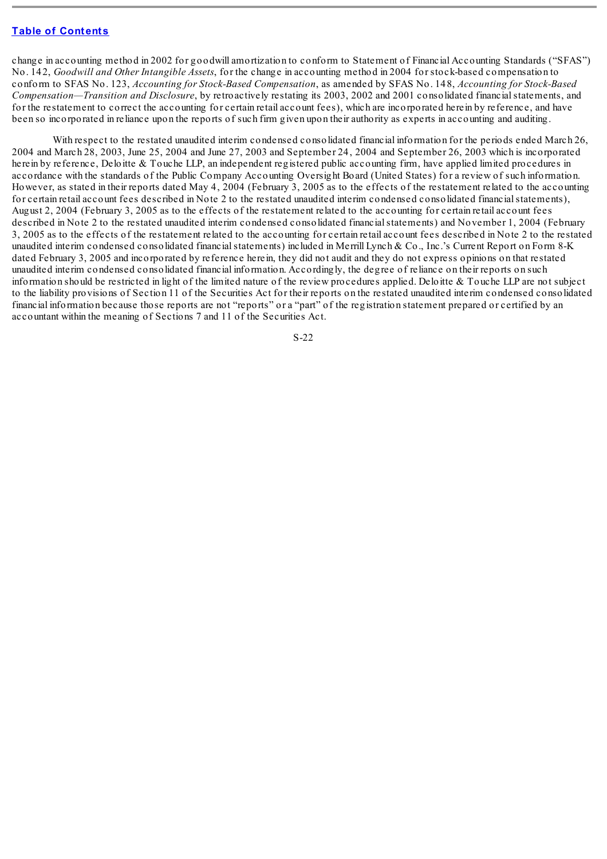change in accounting method in 2002 for goodwill amortization to conform to Statement of Financial Accounting Standards ("SFAS") No. 142, *Goodwill and Other Intangible Assets*, for the change in accounting method in 2004 for stock-based compensation to conform to SFAS No. 123, *Accounting for Stock-Based Compensation*, as amended by SFAS No. 148, *Accounting for Stock-Based Compensation—Transition and Disclosure*, by retroactively restating its 2003, 2002 and 2001 consolidated financialstatements, and for the restatement to correct the accounting for certain retail account fees), which are incorporated herein by reference, and have been so incorporated in reliance upon the reports of such firm given upon their authority as experts in accounting and auditing.

With respect to the restated unaudited interim condensed consolidated financial information for the periods ended March 26, 2004 and March 28, 2003, June 25, 2004 and June 27, 2003 and September 24, 2004 and September 26, 2003 which is incorporated herein by reference, Deloitte & Touche LLP, an independent registered public accounting firm, have applied limited procedures in accordance with the standards of the Public Company Accounting Oversight Board (United States) for a review of such information. However, as stated in their reports dated May 4, 2004 (February 3, 2005 as to the effects of the restatement related to the accounting for certain retail account fees described in Note 2 to the restated unaudited interim condensed consolidated financialstatements), August 2, 2004 (February 3, 2005 as to the effects of the restatement related to the accounting for certain retail account fees described in Note 2 to the restated unaudited interim condensed consolidated financialstatements) and November 1, 2004 (February 3, 2005 as to the effects of the restatement related to the accounting for certain retail account fees described in Note 2 to the restated unaudited interim condensed consolidated financialstatements) included in Merrill Lynch & Co., Inc.'s Current Report on Form 8-K dated February 3, 2005 and incorporated by reference herein, they did not audit and they do not express opinions on that restated unaudited interim condensed consolidated financial information. Accordingly, the degree of reliance on their reports on such information should be restricted in light of the limited nature of the review procedures applied. Deloitte & Touche LLP are not subject to the liability provisions of Section 11 of the Securities Act for their reports on the restated unaudited interim condensed consolidated financial information because those reports are not "reports" or a "part" of the registration statement prepared or certified by an accountant within the meaning of Sections 7 and 11 of the Securities Act.